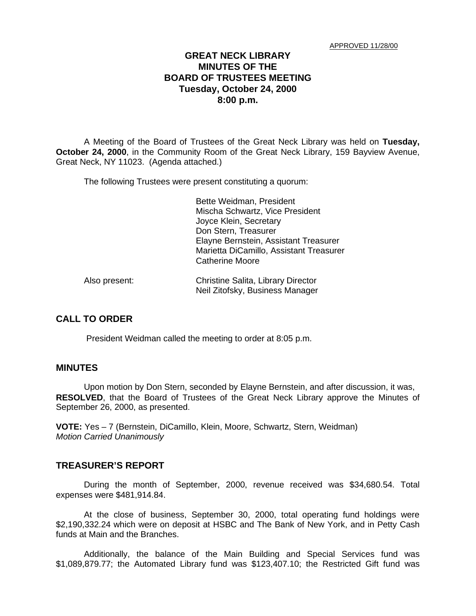# **GREAT NECK LIBRARY MINUTES OF THE BOARD OF TRUSTEES MEETING Tuesday, October 24, 2000 8:00 p.m.**

A Meeting of the Board of Trustees of the Great Neck Library was held on **Tuesday, October 24, 2000**, in the Community Room of the Great Neck Library, 159 Bayview Avenue, Great Neck, NY 11023. (Agenda attached.)

The following Trustees were present constituting a quorum:

Bette Weidman, President Mischa Schwartz, Vice President Joyce Klein, Secretary Don Stern, Treasurer Elayne Bernstein, Assistant Treasurer Marietta DiCamillo, Assistant Treasurer Catherine Moore

| Also present: | Christine Salita, Library Director |
|---------------|------------------------------------|
|               | Neil Zitofsky, Business Manager    |

## **CALL TO ORDER**

President Weidman called the meeting to order at 8:05 p.m.

### **MINUTES**

Upon motion by Don Stern, seconded by Elayne Bernstein, and after discussion, it was, **RESOLVED**, that the Board of Trustees of the Great Neck Library approve the Minutes of September 26, 2000, as presented.

**VOTE:** Yes – 7 (Bernstein, DiCamillo, Klein, Moore, Schwartz, Stern, Weidman) *Motion Carried Unanimously*

#### **TREASURER'S REPORT**

During the month of September, 2000, revenue received was \$34,680.54. Total expenses were \$481,914.84.

At the close of business, September 30, 2000, total operating fund holdings were \$2,190,332.24 which were on deposit at HSBC and The Bank of New York, and in Petty Cash funds at Main and the Branches.

Additionally, the balance of the Main Building and Special Services fund was \$1,089,879.77; the Automated Library fund was \$123,407.10; the Restricted Gift fund was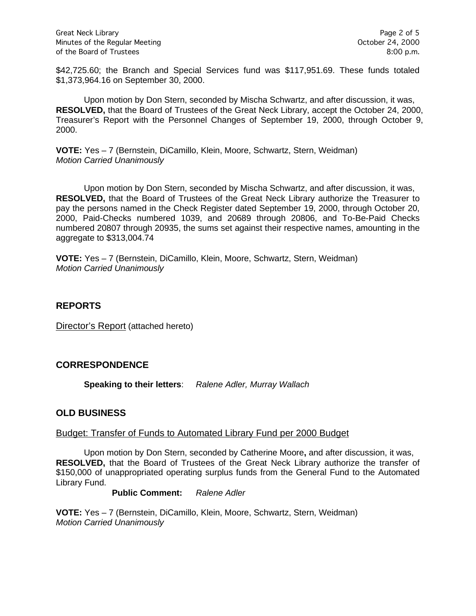Great Neck Library **Page 2 of 5** and 2 of 5 Minutes of the Regular Meeting **Community Community** Construction of the Regular Meeting Community Community Community Community Community Community Community Community Community Community Community Community Community Com of the Board of Trustees 8:00 p.m.

\$42,725.60; the Branch and Special Services fund was \$117,951.69. These funds totaled \$1,373,964.16 on September 30, 2000.

Upon motion by Don Stern, seconded by Mischa Schwartz, and after discussion, it was, **RESOLVED,** that the Board of Trustees of the Great Neck Library, accept the October 24, 2000, Treasurer's Report with the Personnel Changes of September 19, 2000, through October 9, 2000.

**VOTE:** Yes – 7 (Bernstein, DiCamillo, Klein, Moore, Schwartz, Stern, Weidman) *Motion Carried Unanimously*

Upon motion by Don Stern, seconded by Mischa Schwartz, and after discussion, it was, **RESOLVED,** that the Board of Trustees of the Great Neck Library authorize the Treasurer to pay the persons named in the Check Register dated September 19, 2000, through October 20, 2000, Paid-Checks numbered 1039, and 20689 through 20806, and To-Be-Paid Checks numbered 20807 through 20935, the sums set against their respective names, amounting in the aggregate to \$313,004.74

**VOTE:** Yes – 7 (Bernstein, DiCamillo, Klein, Moore, Schwartz, Stern, Weidman) *Motion Carried Unanimously*

## **REPORTS**

Director's Report (attached hereto)

## **CORRESPONDENCE**

**Speaking to their letters**: *Ralene Adler, Murray Wallach*

## **OLD BUSINESS**

### Budget: Transfer of Funds to Automated Library Fund per 2000 Budget

Upon motion by Don Stern, seconded by Catherine Moore**,** and after discussion, it was, **RESOLVED,** that the Board of Trustees of the Great Neck Library authorize the transfer of \$150,000 of unappropriated operating surplus funds from the General Fund to the Automated Library Fund.

**Public Comment:** *Ralene Adler*

**VOTE:** Yes – 7 (Bernstein, DiCamillo, Klein, Moore, Schwartz, Stern, Weidman) *Motion Carried Unanimously*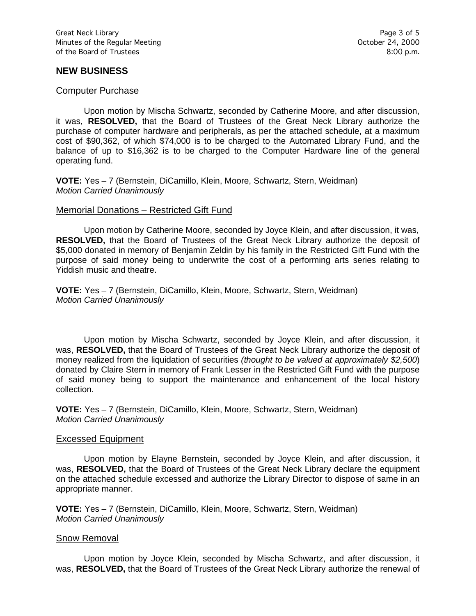## **NEW BUSINESS**

#### Computer Purchase

Upon motion by Mischa Schwartz, seconded by Catherine Moore, and after discussion, it was, **RESOLVED,** that the Board of Trustees of the Great Neck Library authorize the purchase of computer hardware and peripherals, as per the attached schedule, at a maximum cost of \$90,362, of which \$74,000 is to be charged to the Automated Library Fund, and the balance of up to \$16,362 is to be charged to the Computer Hardware line of the general operating fund.

**VOTE:** Yes – 7 (Bernstein, DiCamillo, Klein, Moore, Schwartz, Stern, Weidman) *Motion Carried Unanimously*

#### Memorial Donations – Restricted Gift Fund

Upon motion by Catherine Moore, seconded by Joyce Klein, and after discussion, it was, **RESOLVED,** that the Board of Trustees of the Great Neck Library authorize the deposit of \$5,000 donated in memory of Benjamin Zeldin by his family in the Restricted Gift Fund with the purpose of said money being to underwrite the cost of a performing arts series relating to Yiddish music and theatre.

**VOTE:** Yes – 7 (Bernstein, DiCamillo, Klein, Moore, Schwartz, Stern, Weidman) *Motion Carried Unanimously*

Upon motion by Mischa Schwartz, seconded by Joyce Klein, and after discussion, it was, **RESOLVED,** that the Board of Trustees of the Great Neck Library authorize the deposit of money realized from the liquidation of securities *(thought to be valued at approximately \$2,500*) donated by Claire Stern in memory of Frank Lesser in the Restricted Gift Fund with the purpose of said money being to support the maintenance and enhancement of the local history collection.

**VOTE:** Yes – 7 (Bernstein, DiCamillo, Klein, Moore, Schwartz, Stern, Weidman) *Motion Carried Unanimously*

#### Excessed Equipment

Upon motion by Elayne Bernstein, seconded by Joyce Klein, and after discussion, it was, **RESOLVED,** that the Board of Trustees of the Great Neck Library declare the equipment on the attached schedule excessed and authorize the Library Director to dispose of same in an appropriate manner.

**VOTE:** Yes – 7 (Bernstein, DiCamillo, Klein, Moore, Schwartz, Stern, Weidman) *Motion Carried Unanimously*

#### Snow Removal

Upon motion by Joyce Klein, seconded by Mischa Schwartz, and after discussion, it was, **RESOLVED,** that the Board of Trustees of the Great Neck Library authorize the renewal of